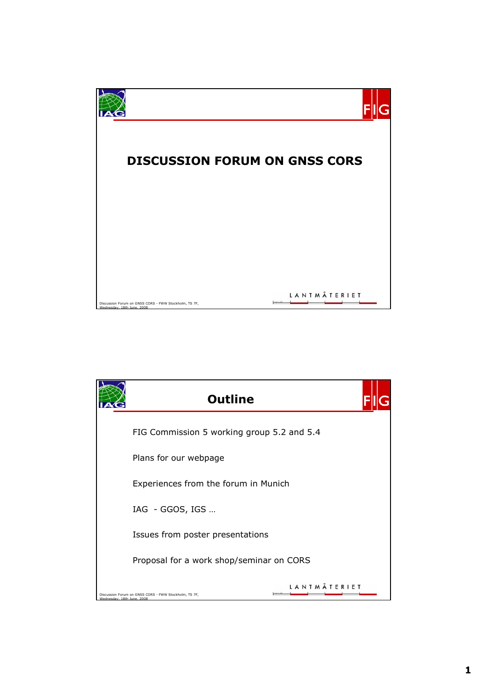

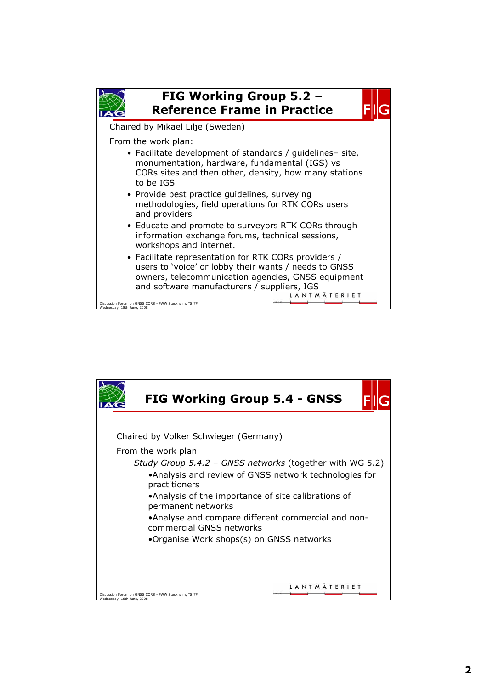

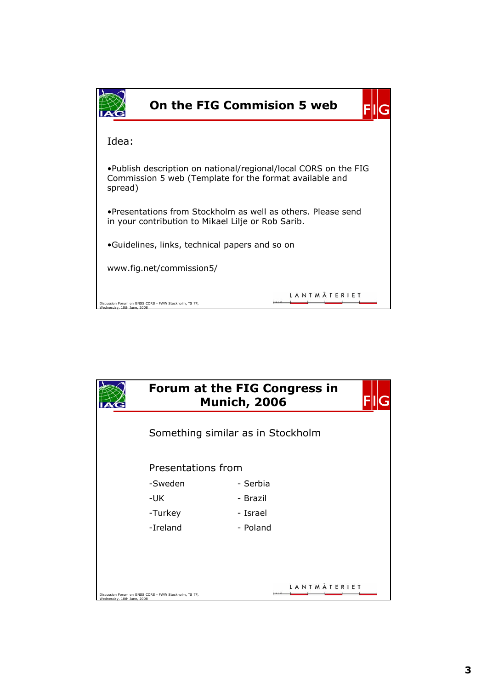| <b>On the FIG Commision 5 web</b>                                                                                                      |  |  |  |  |
|----------------------------------------------------------------------------------------------------------------------------------------|--|--|--|--|
| Idea:                                                                                                                                  |  |  |  |  |
| . Publish description on national/regional/local CORS on the FIG<br>Commission 5 web (Template for the format available and<br>spread) |  |  |  |  |
| . Presentations from Stockholm as well as others. Please send<br>in your contribution to Mikael Lilje or Rob Sarib.                    |  |  |  |  |
| •Guidelines, links, technical papers and so on                                                                                         |  |  |  |  |
| www.fig.net/commission5/                                                                                                               |  |  |  |  |
| Discussion Forum on GNSS CORS - FWW Stockholm, TS 7F,<br>Wednesday, 18th June, 2008                                                    |  |  |  |  |

|                            | Forum at the FIG Congress in<br><b>Munich, 2006</b>     |          |  |
|----------------------------|---------------------------------------------------------|----------|--|
|                            | Something similar as in Stockholm<br>Presentations from |          |  |
|                            |                                                         |          |  |
|                            | -Sweden                                                 | - Serbia |  |
|                            | -UK                                                     | - Brazil |  |
|                            | -Turkey                                                 | - Israel |  |
|                            | -Ireland                                                | - Poland |  |
|                            |                                                         |          |  |
|                            |                                                         |          |  |
|                            |                                                         |          |  |
| Wednesday, 18th June, 2008 | Discussion Forum on GNSS CORS - FWW Stockholm, TS 7F,   | LANTMÄ   |  |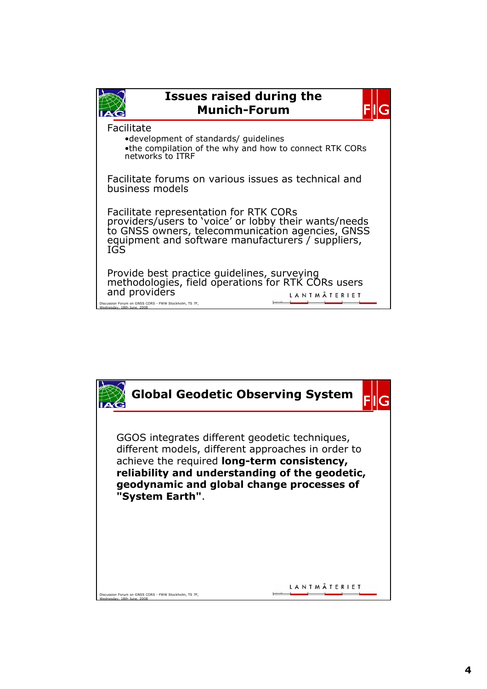

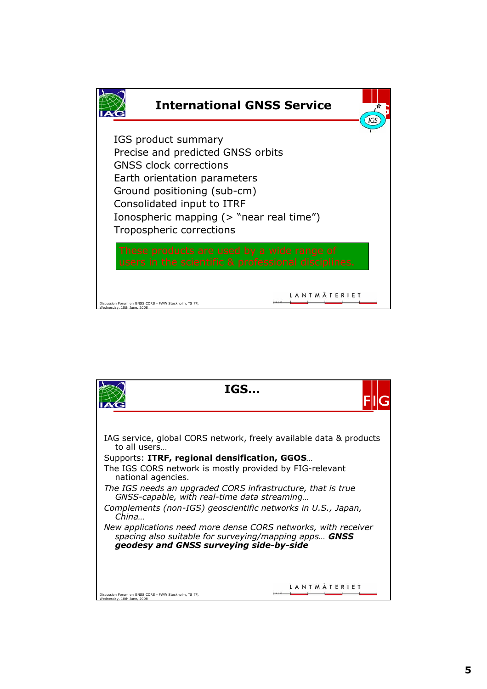

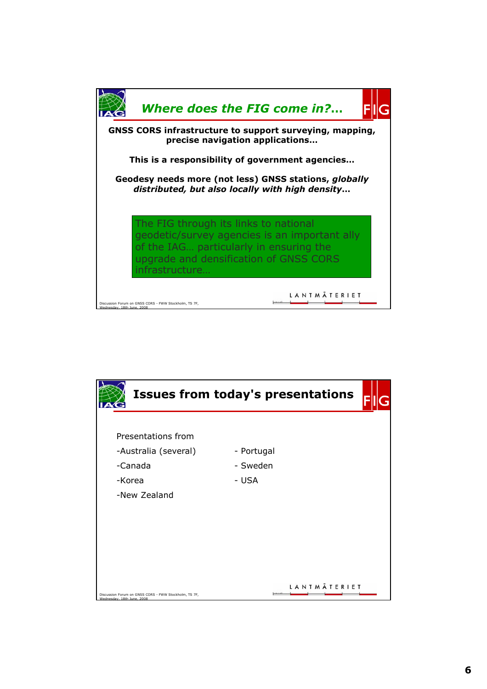

|                                                                                     | <b>Issues from today's presentations</b> |
|-------------------------------------------------------------------------------------|------------------------------------------|
| Presentations from<br>-Australia (several)<br>-Canada<br>-Korea<br>-New Zealand     | - Portugal<br>- Sweden<br>- USA          |
| Discussion Forum on GNSS CORS - FWW Stockholm, TS 7F,<br>Wednesday, 18th June, 2008 | LANTMÄTERIET                             |